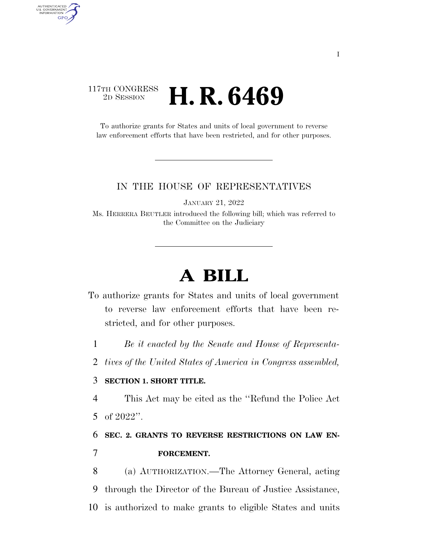### 117TH CONGRESS <sup>2D SESSION</sup> **H. R. 6469**

AUTHENTICATED U.S. GOVERNMENT GPO

> To authorize grants for States and units of local government to reverse law enforcement efforts that have been restricted, and for other purposes.

#### IN THE HOUSE OF REPRESENTATIVES

JANUARY 21, 2022

Ms. HERRERA BEUTLER introduced the following bill; which was referred to the Committee on the Judiciary

# **A BILL**

- To authorize grants for States and units of local government to reverse law enforcement efforts that have been restricted, and for other purposes.
	- 1 *Be it enacted by the Senate and House of Representa-*
	- 2 *tives of the United States of America in Congress assembled,*

### 3 **SECTION 1. SHORT TITLE.**

4 This Act may be cited as the ''Refund the Police Act 5 of 2022''.

## 6 **SEC. 2. GRANTS TO REVERSE RESTRICTIONS ON LAW EN-**7 **FORCEMENT.**

8 (a) AUTHORIZATION.—The Attorney General, acting 9 through the Director of the Bureau of Justice Assistance, 10 is authorized to make grants to eligible States and units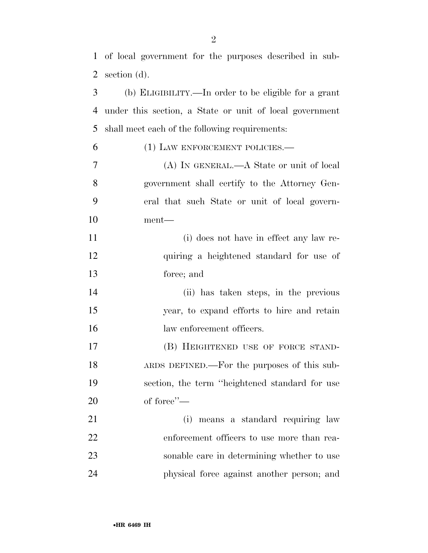of local government for the purposes described in sub-

| 2              | section (d).                                            |
|----------------|---------------------------------------------------------|
| 3              | (b) ELIGIBILITY.—In order to be eligible for a grant    |
| 4              | under this section, a State or unit of local government |
| 5              | shall meet each of the following requirements:          |
| 6              | (1) LAW ENFORCEMENT POLICIES.—                          |
| $\overline{7}$ | (A) IN GENERAL.—A State or unit of local                |
| 8              | government shall certify to the Attorney Gen-           |
| 9              | eral that such State or unit of local govern-           |
| 10             | ment—                                                   |
| 11             | (i) does not have in effect any law re-                 |
| 12             | quiring a heightened standard for use of                |
| 13             | force; and                                              |
| 14             | (ii) has taken steps, in the previous                   |
| 15             | year, to expand efforts to hire and retain              |
| 16             | law enforcement officers.                               |
| 17             | (B) HEIGHTENED USE OF FORCE STAND-                      |
| 18             | ARDS DEFINED.—For the purposes of this sub-             |
| 19             | section, the term "heightened standard for use          |
| 20             | of force"-                                              |
| 21             | (i)<br>means a standard requiring law                   |
| 22             | enforcement officers to use more than rea-              |
| 23             | sonable care in determining whether to use              |
| 24             | physical force against another person; and              |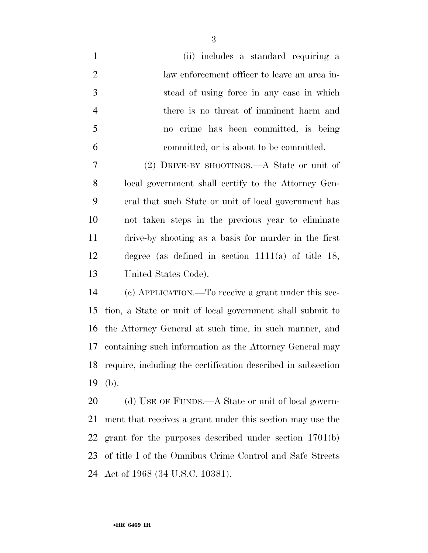| $\mathbf{1}$   | (ii) includes a standard requiring a                      |
|----------------|-----------------------------------------------------------|
| $\overline{2}$ | law enforcement officer to leave an area in-              |
| 3              | stead of using force in any case in which                 |
| $\overline{4}$ | there is no threat of imminent harm and                   |
| 5              | no crime has been committed, is being                     |
| 6              | committed, or is about to be committed.                   |
| 7              | (2) DRIVE-BY SHOOTINGS.—A State or unit of                |
| 8              | local government shall certify to the Attorney Gen-       |
| 9              | eral that such State or unit of local government has      |
| 10             | not taken steps in the previous year to eliminate         |
| 11             | drive-by shooting as a basis for murder in the first      |
| 12             | degree (as defined in section $1111(a)$ of title 18,      |
| 13             | United States Code).                                      |
| 14             | (c) APPLICATION.—To receive a grant under this sec-       |
| 15             | tion, a State or unit of local government shall submit to |
|                |                                                           |

 the Attorney General at such time, in such manner, and containing such information as the Attorney General may require, including the certification described in subsection (b).

20 (d) USE OF FUNDS.—A State or unit of local govern- ment that receives a grant under this section may use the grant for the purposes described under section 1701(b) of title I of the Omnibus Crime Control and Safe Streets Act of 1968 (34 U.S.C. 10381).